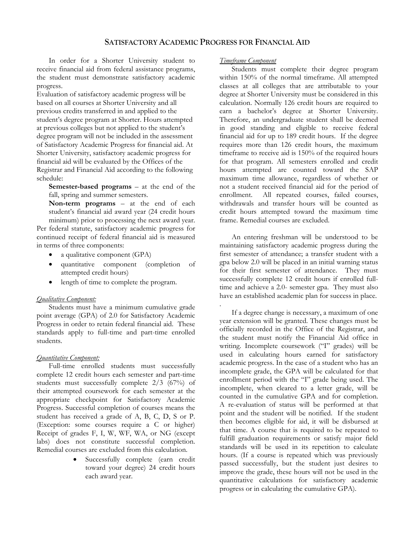## **SATISFACTORY ACADEMIC PROGRESS FOR FINANCIAL AID**

.

In order for a Shorter University student to receive financial aid from federal assistance programs, the student must demonstrate satisfactory academic progress.

Evaluation of satisfactory academic progress will be based on all courses at Shorter University and all previous credits transferred in and applied to the student's degree program at Shorter. Hours attempted at previous colleges but not applied to the student's degree program will not be included in the assessment of Satisfactory Academic Progress for financial aid. At Shorter University, satisfactory academic progress for financial aid will be evaluated by the Offices of the Registrar and Financial Aid according to the following schedule:

**Semester-based programs** – at the end of the fall, spring and summer semesters.

**Non-term programs** – at the end of each student's financial aid award year (24 credit hours minimum) prior to processing the next award year.

Per federal statute, satisfactory academic progress for continued receipt of federal financial aid is measured in terms of three components:

- a qualitative component (GPA)
- quantitative component (completion of attempted credit hours)
- length of time to complete the program.

## *Qualitative Component:*

Students must have a minimum cumulative grade point average (GPA) of 2.0 for Satisfactory Academic Progress in order to retain federal financial aid. These standards apply to full-time and part-time enrolled students.

## *Quantitative Component:*

Full-time enrolled students must successfully complete 12 credit hours each semester and part-time students must successfully complete 2/3 (67%) of their attempted coursework for each semester at the appropriate checkpoint for Satisfactory Academic Progress. Successful completion of courses means the student has received a grade of A, B, C, D, S or P. (Exception: some courses require a C or higher) Receipt of grades F, I, W, WF, WA, or NG (except labs) does not constitute successful completion. Remedial courses are excluded from this calculation.

> Successfully complete (earn credit toward your degree) 24 credit hours each award year.

## *Timeframe Component*

Students must complete their degree program within 150% of the normal timeframe. All attempted classes at all colleges that are attributable to your degree at Shorter University must be considered in this calculation. Normally 126 credit hours are required to earn a bachelor's degree at Shorter University. Therefore, an undergraduate student shall be deemed in good standing and eligible to receive federal financial aid for up to 189 credit hours. If the degree requires more than 126 credit hours, the maximum timeframe to receive aid is 150% of the required hours for that program. All semesters enrolled and credit hours attempted are counted toward the SAP maximum time allowance, regardless of whether or not a student received financial aid for the period of enrollment. All repeated courses, failed courses, withdrawals and transfer hours will be counted as credit hours attempted toward the maximum time frame. Remedial courses are excluded.

An entering freshman will be understood to be maintaining satisfactory academic progress during the first semester of attendance; a transfer student with a gpa below 2.0 will be placed in an initial warning status for their first semester of attendance. They must successfully complete 12 credit hours if enrolled fulltime and achieve a 2.0- semester gpa. They must also have an established academic plan for success in place.

If a degree change is necessary, a maximum of one year extension will be granted. These changes must be officially recorded in the Office of the Registrar, and the student must notify the Financial Aid office in writing. Incomplete coursework ("I" grades) will be used in calculating hours earned for satisfactory academic progress. In the case of a student who has an incomplete grade, the GPA will be calculated for that enrollment period with the "I" grade being used. The incomplete, when cleared to a letter grade, will be counted in the cumulative GPA and for completion. A re-evaluation of status will be performed at that point and the student will be notified. If the student then becomes eligible for aid, it will be disbursed at that time. A course that is required to be repeated to fulfill graduation requirements or satisfy major field standards will be used in its repetition to calculate hours. (If a course is repeated which was previously passed successfully, but the student just desires to improve the grade, these hours will not be used in the quantitative calculations for satisfactory academic progress or in calculating the cumulative GPA).